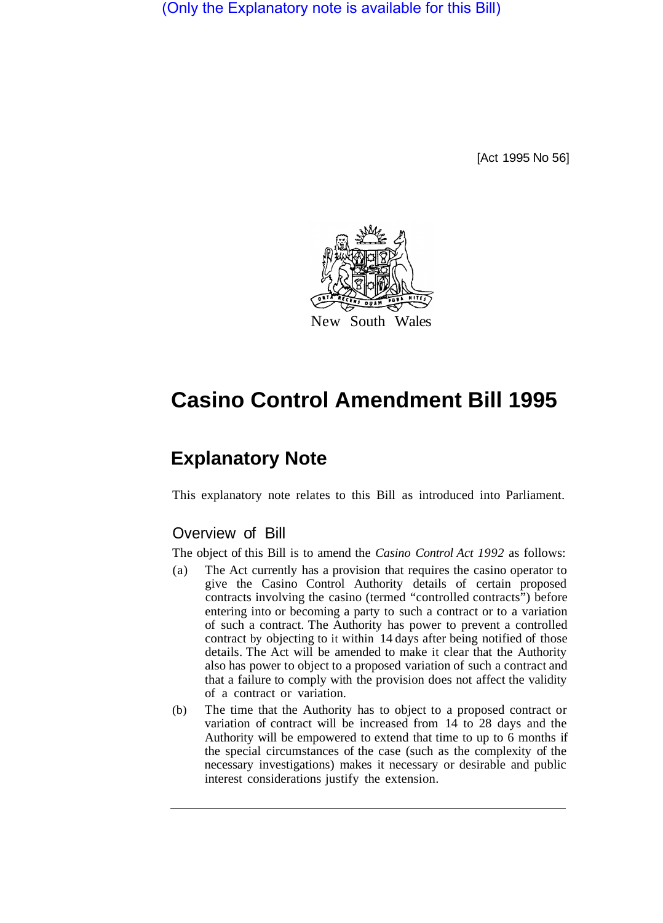(Only the Explanatory note is available for this Bill)

[Act 1995 No 56]



# **Casino Control Amendment Bill 1995**

# **Explanatory Note**

This explanatory note relates to this Bill as introduced into Parliament.

## Overview of Bill

The object of this Bill is to amend the *Casino Control Act 1992* as follows:

- (a) The Act currently has a provision that requires the casino operator to give the Casino Control Authority details of certain proposed contracts involving the casino (termed "controlled contracts") before entering into or becoming a party to such a contract or to a variation of such a contract. The Authority has power to prevent a controlled contract by objecting to it within 14 days after being notified of those details. The Act will be amended to make it clear that the Authority also has power to object to a proposed variation of such a contract and that a failure to comply with the provision does not affect the validity of a contract or variation.
- (b) The time that the Authority has to object to a proposed contract or variation of contract will be increased from 14 to 28 days and the Authority will be empowered to extend that time to up to 6 months if the special circumstances of the case (such as the complexity of the necessary investigations) makes it necessary or desirable and public interest considerations justify the extension.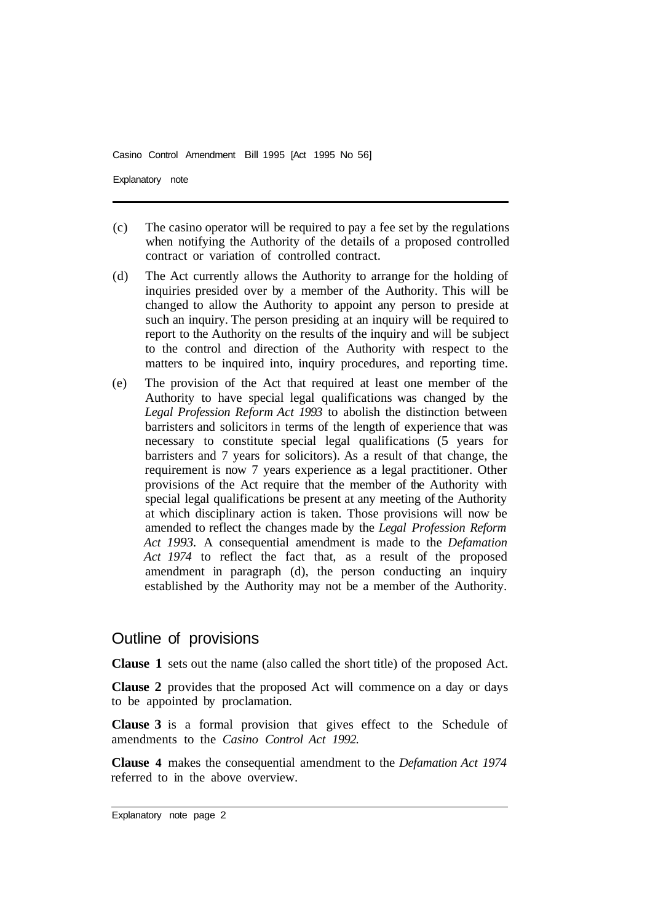Casino Control Amendment Bill 1995 [Act 1995 No 56]

Explanatory note

- (c) The casino operator will be required to pay a fee set by the regulations when notifying the Authority of the details of a proposed controlled contract or variation of controlled contract.
- (d) The Act currently allows the Authority to arrange for the holding of inquiries presided over by a member of the Authority. This will be changed to allow the Authority to appoint any person to preside at such an inquiry. The person presiding at an inquiry will be required to report to the Authority on the results of the inquiry and will be subject to the control and direction of the Authority with respect to the matters to be inquired into, inquiry procedures, and reporting time.
- (e) The provision of the Act that required at least one member of the Authority to have special legal qualifications was changed by the *Legal Profession Reform Act 1993* to abolish the distinction between barristers and solicitors in terms of the length of experience that was necessary to constitute special legal qualifications (5 years for barristers and 7 years for solicitors). As a result of that change, the requirement is now 7 years experience as a legal practitioner. Other provisions of the Act require that the member of the Authority with special legal qualifications be present at any meeting of the Authority at which disciplinary action is taken. Those provisions will now be amended to reflect the changes made by the *Legal Profession Reform Act 1993.* A consequential amendment is made to the *Defamation Act 1974* to reflect the fact that, as a result of the proposed amendment in paragraph (d), the person conducting an inquiry established by the Authority may not be a member of the Authority.

### Outline of provisions

**Clause 1** sets out the name (also called the short title) of the proposed Act.

**Clause 2** provides that the proposed Act will commence on a day or days to be appointed by proclamation.

**Clause 3** is a formal provision that gives effect to the Schedule of amendments to the *Casino Control Act 1992.* 

**Clause 4** makes the consequential amendment to the *Defamation Act 1974*  referred to in the above overview.

Explanatory note page 2